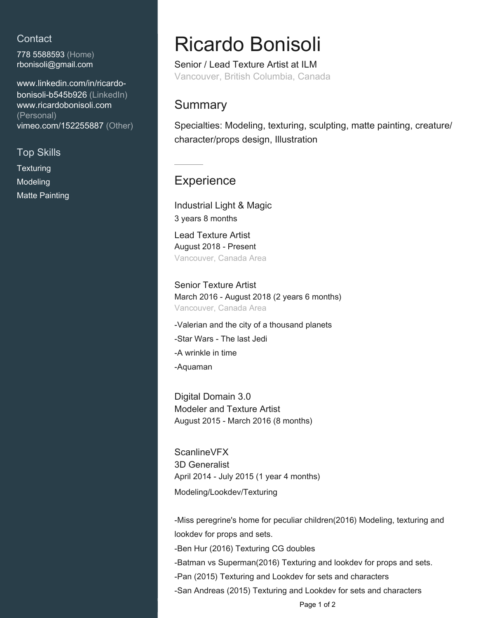#### **Contact**

778 5588593 (Home) [rbonisoli@gmail.com](mailto:rbonisoli@gmail.com)

[www.linkedin.com/in/ricardo](https://www.linkedin.com/in/ricardo-bonisoli-b545b926?jobid=1234&lipi=urn%3Ali%3Apage%3Ad_jobs_easyapply_pdfgenresume%3Bg9GX94SGRd2%2FkcQj6CBvMQ%3D%3D&licu=urn%3Ali%3Acontrol%3Ad_jobs_easyapply_pdfgenresume-v02_profile)[bonisoli-b545b926 \(LinkedIn\)](https://www.linkedin.com/in/ricardo-bonisoli-b545b926?jobid=1234&lipi=urn%3Ali%3Apage%3Ad_jobs_easyapply_pdfgenresume%3Bg9GX94SGRd2%2FkcQj6CBvMQ%3D%3D&licu=urn%3Ali%3Acontrol%3Ad_jobs_easyapply_pdfgenresume-v02_profile) [www.ricardobonisoli.com](http://www.ricardobonisoli.com) [\(Personal\)](http://www.ricardobonisoli.com) [vimeo.com/152255887 \(Other\)](https://vimeo.com/152255887)

Top Skills

**Texturing** Modeling Matte Painting

# Ricardo Bonisoli

Senior / Lead Texture Artist at ILM Vancouver, British Columbia, Canada

### **Summary**

Specialties: Modeling, texturing, sculpting, matte painting, creature/ character/props design, Illustration

## **Experience**

Industrial Light & Magic 3 years 8 months

Lead Texture Artist August 2018 - Present Vancouver, Canada Area

Senior Texture Artist March 2016 - August 2018 (2 years 6 months) Vancouver, Canada Area

-Valerian and the city of a thousand planets -Star Wars - The last Jedi -A wrinkle in time -Aquaman

Digital Domain 3.0 Modeler and Texture Artist August 2015 - March 2016 (8 months)

ScanlineVFX 3D Generalist April 2014 - July 2015 (1 year 4 months) Modeling/Lookdev/Texturing

-Miss peregrine's home for peculiar children(2016) Modeling, texturing and lookdev for props and sets.

-Ben Hur (2016) Texturing CG doubles

-Batman vs Superman(2016) Texturing and lookdev for props and sets.

-Pan (2015) Texturing and Lookdev for sets and characters

-San Andreas (2015) Texturing and Lookdev for sets and characters